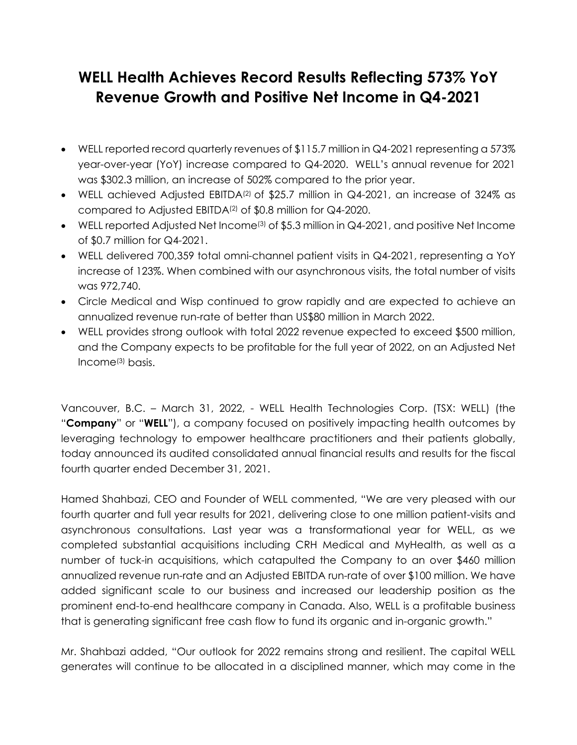# **WELL Health Achieves Record Results Reflecting 573% YoY Revenue Growth and Positive Net Income in Q4-2021**

- WELL reported record quarterly revenues of \$115.7 million in Q4-2021 representing a 573% year-over-year (YoY) increase compared to Q4-2020. WELL's annual revenue for 2021 was \$302.3 million, an increase of 502% compared to the prior year.
- WELL achieved Adjusted EBITDA<sup>(2)</sup> of \$25.7 million in Q4-2021, an increase of 324% as compared to Adjusted EBITDA(2) of \$0.8 million for Q4-2020.
- WELL reported Adjusted Net Income<sup>(3)</sup> of \$5.3 million in  $\mathsf{Q4}\text{-}2021$ , and positive Net Income of \$0.7 million for Q4-2021.
- WELL delivered 700,359 total omni-channel patient visits in Q4-2021, representing a YoY increase of 123%. When combined with our asynchronous visits, the total number of visits was 972,740.
- Circle Medical and Wisp continued to grow rapidly and are expected to achieve an annualized revenue run-rate of better than US\$80 million in March 2022.
- WELL provides strong outlook with total 2022 revenue expected to exceed \$500 million, and the Company expects to be profitable for the full year of 2022, on an Adjusted Net Income(3) basis.

Vancouver, B.C. – March 31, 2022, - WELL Health Technologies Corp. (TSX: WELL) (the "**Company**" or "**WELL**"), a company focused on positively impacting health outcomes by leveraging technology to empower healthcare practitioners and their patients globally, today announced its audited consolidated annual financial results and results for the fiscal fourth quarter ended December 31, 2021.

Hamed Shahbazi, CEO and Founder of WELL commented, "We are very pleased with our fourth quarter and full year results for 2021, delivering close to one million patient-visits and asynchronous consultations. Last year was a transformational year for WELL, as we completed substantial acquisitions including CRH Medical and MyHealth, as well as a number of tuck-in acquisitions, which catapulted the Company to an over \$460 million annualized revenue run-rate and an Adjusted EBITDA run-rate of over \$100 million. We have added significant scale to our business and increased our leadership position as the prominent end-to-end healthcare company in Canada. Also, WELL is a profitable business that is generating significant free cash flow to fund its organic and in-organic growth."

Mr. Shahbazi added, "Our outlook for 2022 remains strong and resilient. The capital WELL generates will continue to be allocated in a disciplined manner, which may come in the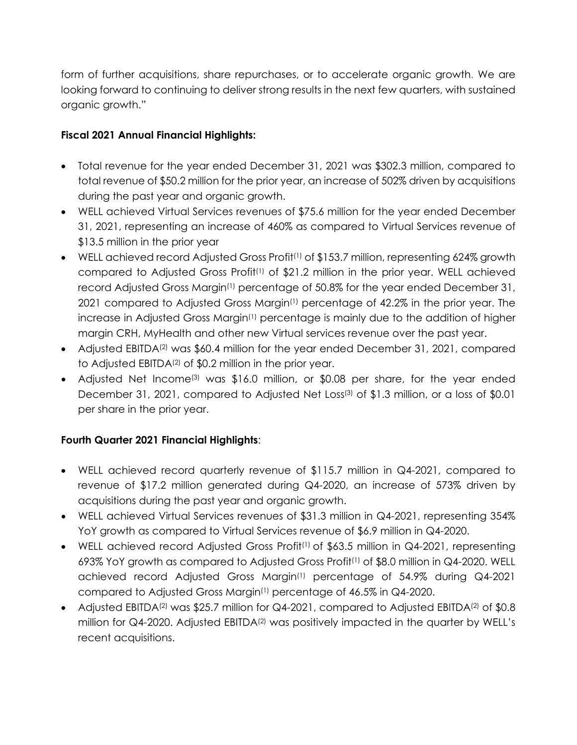form of further acquisitions, share repurchases, or to accelerate organic growth. We are looking forward to continuing to deliver strong results in the next few quarters, with sustained organic growth."

# **Fiscal 2021 Annual Financial Highlights:**

- Total revenue for the year ended December 31, 2021 was \$302.3 million, compared to total revenue of \$50.2 million for the prior year, an increase of 502% driven by acquisitions during the past year and organic growth.
- WELL achieved Virtual Services revenues of \$75.6 million for the year ended December 31, 2021, representing an increase of 460% as compared to Virtual Services revenue of \$13.5 million in the prior year
- WELL achieved record Adjusted Gross Profit<sup>(1)</sup> of \$153.7 million, representing 624% growth compared to Adjusted Gross Profit<sup>(1)</sup> of \$21.2 million in the prior year. WELL achieved record Adjusted Gross Margin<sup>(1)</sup> percentage of 50.8% for the year ended December 31, 2021 compared to Adjusted Gross Margin(1) percentage of 42.2% in the prior year. The increase in Adjusted Gross Margin<sup>(1)</sup> percentage is mainly due to the addition of higher margin CRH, MyHealth and other new Virtual services revenue over the past year.
- Adjusted EBITDA<sup>(2)</sup> was \$60.4 million for the year ended December 31, 2021, compared to Adjusted EBITDA(2) of \$0.2 million in the prior year.
- Adjusted Net Income<sup>(3)</sup> was \$16.0 million, or \$0.08 per share, for the year ended December 31, 2021, compared to Adjusted Net Loss(3) of \$1.3 million, or a loss of \$0.01 per share in the prior year.

# **Fourth Quarter 2021 Financial Highlights**:

- WELL achieved record quarterly revenue of \$115.7 million in Q4-2021, compared to revenue of \$17.2 million generated during Q4-2020, an increase of 573% driven by acquisitions during the past year and organic growth.
- WELL achieved Virtual Services revenues of \$31.3 million in Q4-2021, representing 354% YoY growth as compared to Virtual Services revenue of \$6.9 million in Q4-2020.
- WELL achieved record Adjusted Gross Profit<sup>(1)</sup> of \$63.5 million in Q4-2021, representing 693% YoY growth as compared to Adjusted Gross Profit(1) of \$8.0 million in Q4-2020. WELL achieved record Adjusted Gross Margin(1) percentage of 54.9% during Q4-2021 compared to Adjusted Gross Margin(1) percentage of 46.5% in Q4-2020.
- Adjusted EBITDA<sup>(2)</sup> was \$25.7 million for Q4-2021, compared to Adjusted EBITDA<sup>(2)</sup> of \$0.8 million for Q4-2020. Adjusted EBITDA<sup>(2)</sup> was positively impacted in the quarter by WELL's recent acquisitions.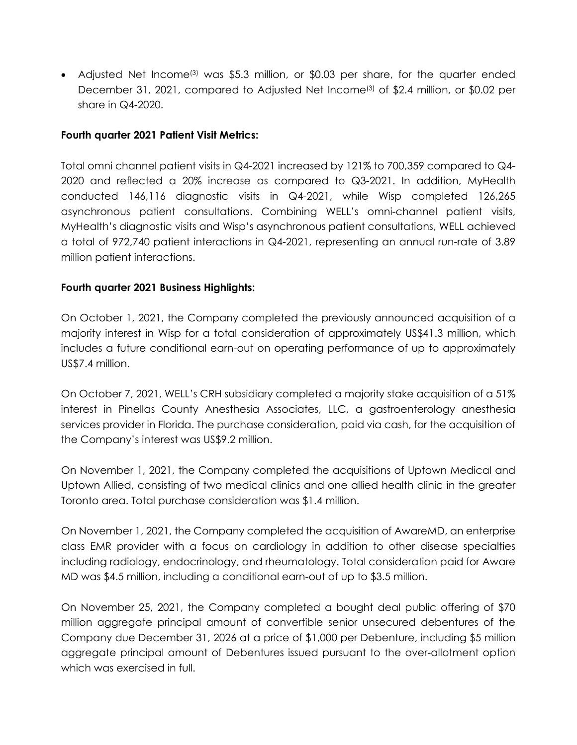• Adjusted Net Income<sup>(3)</sup> was \$5.3 million, or \$0.03 per share, for the quarter ended December 31, 2021, compared to Adjusted Net Income<sup>(3)</sup> of \$2.4 million, or \$0.02 per share in Q4-2020.

#### **Fourth quarter 2021 Patient Visit Metrics:**

Total omni channel patient visits in Q4-2021 increased by 121% to 700,359 compared to Q4- 2020 and reflected a 20% increase as compared to Q3-2021. In addition, MyHealth conducted 146,116 diagnostic visits in Q4-2021, while Wisp completed 126,265 asynchronous patient consultations. Combining WELL's omni-channel patient visits, MyHealth's diagnostic visits and Wisp's asynchronous patient consultations, WELL achieved a total of 972,740 patient interactions in Q4-2021, representing an annual run-rate of 3.89 million patient interactions.

# **Fourth quarter 2021 Business Highlights:**

On October 1, 2021, the Company completed the previously announced acquisition of a majority interest in Wisp for a total consideration of approximately US\$41.3 million, which includes a future conditional earn-out on operating performance of up to approximately US\$7.4 million.

On October 7, 2021, WELL's CRH subsidiary completed a majority stake acquisition of a 51% interest in Pinellas County Anesthesia Associates, LLC, a gastroenterology anesthesia services provider in Florida. The purchase consideration, paid via cash, for the acquisition of the Company's interest was US\$9.2 million.

On November 1, 2021, the Company completed the acquisitions of Uptown Medical and Uptown Allied, consisting of two medical clinics and one allied health clinic in the greater Toronto area. Total purchase consideration was \$1.4 million.

On November 1, 2021, the Company completed the acquisition of AwareMD, an enterprise class EMR provider with a focus on cardiology in addition to other disease specialties including radiology, endocrinology, and rheumatology. Total consideration paid for Aware MD was \$4.5 million, including a conditional earn-out of up to \$3.5 million.

On November 25, 2021, the Company completed a bought deal public offering of \$70 million aggregate principal amount of convertible senior unsecured debentures of the Company due December 31, 2026 at a price of \$1,000 per Debenture, including \$5 million aggregate principal amount of Debentures issued pursuant to the over-allotment option which was exercised in full.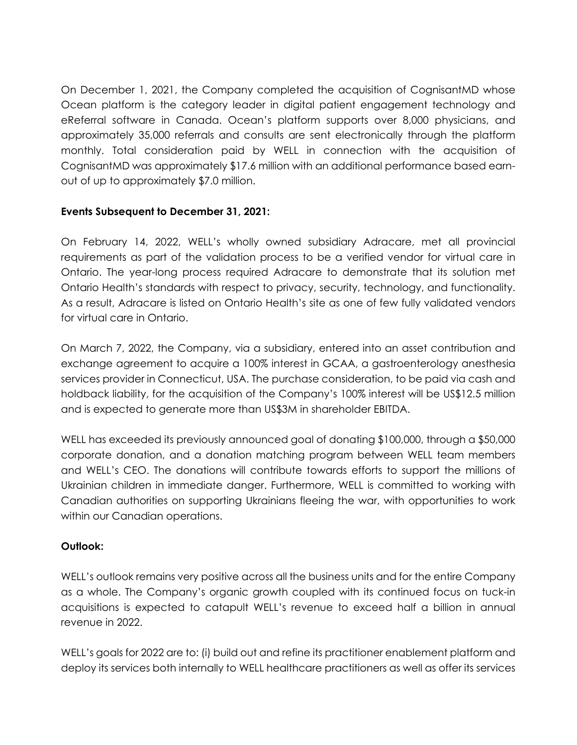On December 1, 2021, the Company completed the acquisition of CognisantMD whose Ocean platform is the category leader in digital patient engagement technology and eReferral software in Canada. Ocean's platform supports over 8,000 physicians, and approximately 35,000 referrals and consults are sent electronically through the platform monthly. Total consideration paid by WELL in connection with the acquisition of CognisantMD was approximately \$17.6 million with an additional performance based earnout of up to approximately \$7.0 million.

# **Events Subsequent to December 31, 2021:**

On February 14, 2022, WELL's wholly owned subsidiary Adracare, met all provincial requirements as part of the validation process to be a verified vendor for virtual care in Ontario. The year-long process required Adracare to demonstrate that its solution met Ontario Health's standards with respect to privacy, security, technology, and functionality. As a result, Adracare is listed on Ontario Health's site as one of few fully validated vendors for virtual care in Ontario.

On March 7, 2022, the Company, via a subsidiary, entered into an asset contribution and exchange agreement to acquire a 100% interest in GCAA, a gastroenterology anesthesia services provider in Connecticut, USA. The purchase consideration, to be paid via cash and holdback liability, for the acquisition of the Company's 100% interest will be US\$12.5 million and is expected to generate more than US\$3M in shareholder EBITDA.

WELL has exceeded its previously announced goal of donating \$100,000, through a \$50,000 corporate donation, and a donation matching program between WELL team members and WELL's CEO. The donations will contribute towards efforts to support the millions of Ukrainian children in immediate danger. Furthermore, WELL is committed to working with Canadian authorities on supporting Ukrainians fleeing the war, with opportunities to work within our Canadian operations.

# **Outlook:**

WELL's outlook remains very positive across all the business units and for the entire Company as a whole. The Company's organic growth coupled with its continued focus on tuck-in acquisitions is expected to catapult WELL's revenue to exceed half a billion in annual revenue in 2022.

WELL's goals for 2022 are to: (i) build out and refine its practitioner enablement platform and deploy its services both internally to WELL healthcare practitioners as well as offer its services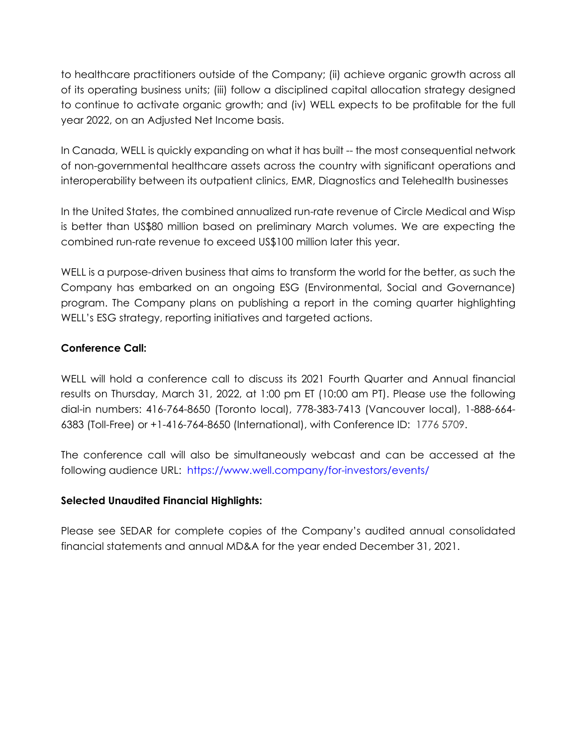to healthcare practitioners outside of the Company; (ii) achieve organic growth across all of its operating business units; (iii) follow a disciplined capital allocation strategy designed to continue to activate organic growth; and (iv) WELL expects to be profitable for the full year 2022, on an Adjusted Net Income basis.

In Canada, WELL is quickly expanding on what it has built -- the most consequential network of non-governmental healthcare assets across the country with significant operations and interoperability between its outpatient clinics, EMR, Diagnostics and Telehealth businesses

In the United States, the combined annualized run-rate revenue of Circle Medical and Wisp is better than US\$80 million based on preliminary March volumes. We are expecting the combined run-rate revenue to exceed US\$100 million later this year.

WELL is a purpose-driven business that aims to transform the world for the better, as such the Company has embarked on an ongoing ESG (Environmental, Social and Governance) program. The Company plans on publishing a report in the coming quarter highlighting WELL's ESG strategy, reporting initiatives and targeted actions.

# **Conference Call:**

WELL will hold a conference call to discuss its 2021 Fourth Quarter and Annual financial results on Thursday, March 31, 2022, at 1:00 pm ET (10:00 am PT). Please use the following dial-in numbers: 416-764-8650 (Toronto local), 778-383-7413 (Vancouver local), 1-888-664- 6383 (Toll-Free) or +1-416-764-8650 (International), with Conference ID: 1776 5709.

The conference call will also be simultaneously webcast and can be accessed at the following audience URL: <https://www.well.company/for-investors/events/>

# **Selected Unaudited Financial Highlights:**

Please see SEDAR for complete copies of the Company's audited annual consolidated financial statements and annual MD&A for the year ended December 31, 2021.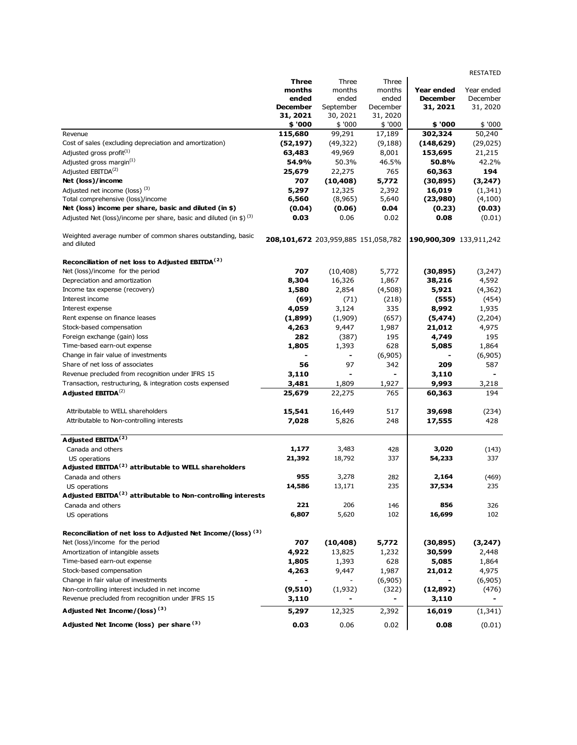|                                                                                |                                     |                          |                              |                         | <b>RESTATED</b> |
|--------------------------------------------------------------------------------|-------------------------------------|--------------------------|------------------------------|-------------------------|-----------------|
|                                                                                | <b>Three</b>                        | Three                    | Three                        |                         |                 |
|                                                                                | months                              | months                   | months                       | <b>Year ended</b>       | Year ended      |
|                                                                                | ended                               | ended                    | ended                        | <b>December</b>         | December        |
|                                                                                | <b>December</b>                     | September                | December                     | 31, 2021                | 31, 2020        |
|                                                                                | 31, 2021                            | 30, 2021                 | 31, 2020                     |                         |                 |
|                                                                                | \$ '000                             | \$ '000                  | \$ '000                      | \$ '000                 | \$ '000         |
| Revenue                                                                        | 115,680                             | 99,291                   | 17,189                       | 302,324                 | 50,240          |
| Cost of sales (excluding depreciation and amortization)                        | (52, 197)                           | (49, 322)                | (9, 188)                     | (148, 629)              | (29, 025)       |
| Adjusted gross profit <sup>(1)</sup>                                           | 63,483                              | 49,969                   | 8,001                        | 153,695                 | 21,215          |
| Adjusted gross margin <sup>(1)</sup>                                           | 54.9%                               | 50.3%                    | 46.5%                        | 50.8%                   | 42.2%           |
| Adjusted EBITDA <sup>(2)</sup>                                                 | 25,679                              | 22,275                   | 765                          | 60,363                  | 194             |
| Net (loss)/income                                                              | 707                                 | (10, 408)                | 5,772                        | (30, 895)               | (3,247)         |
| Adjusted net income (loss) <sup>(3)</sup>                                      | 5,297                               | 12,325                   | 2,392                        | 16,019                  | (1, 341)        |
| Total comprehensive (loss)/income                                              | 6,560                               | (8,965)                  | 5,640                        | (23,980)                | (4,100)         |
| Net (loss) income per share, basic and diluted (in \$)                         | (0.04)                              | (0.06)                   | 0.04                         | (0.23)                  | (0.03)          |
| Adjusted Net (loss)/income per share, basic and diluted (in \$) <sup>(3)</sup> | 0.03                                | 0.06                     | 0.02                         | 0.08                    | (0.01)          |
| Weighted average number of common shares outstanding, basic<br>and diluted     | 208,101,672 203,959,885 151,058,782 |                          |                              | 190,900,309 133,911,242 |                 |
| Reconciliation of net loss to Adjusted EBITDA <sup>(2)</sup>                   |                                     |                          |                              |                         |                 |
| Net (loss)/income for the period                                               | 707                                 | (10, 408)                | 5,772                        | (30, 895)               | (3,247)         |
| Depreciation and amortization                                                  | 8,304                               | 16,326                   | 1,867                        | 38,216                  | 4,592           |
| Income tax expense (recovery)                                                  | 1,580                               | 2,854                    | (4,508)                      | 5,921                   | (4,362)         |
| Interest income                                                                | (69)                                | (71)                     | (218)                        | (555)                   | (454)           |
| Interest expense                                                               | 4,059                               | 3,124                    | 335                          | 8,992                   | 1,935           |
| Rent expense on finance leases                                                 | (1,899)                             | (1,909)                  | (657)                        | (5, 474)                | (2,204)         |
| Stock-based compensation                                                       | 4,263                               | 9,447                    | 1,987                        | 21,012                  | 4,975           |
| Foreign exchange (gain) loss                                                   | 282                                 | (387)                    | 195                          | 4,749                   | 195             |
| Time-based earn-out expense                                                    | 1,805                               | 1,393                    | 628                          | 5,085                   | 1,864           |
| Change in fair value of investments                                            |                                     | $\overline{\phantom{a}}$ | (6,905)                      |                         | (6,905)         |
| Share of net loss of associates                                                | 56                                  | 97                       | 342                          | 209                     | 587             |
| Revenue precluded from recognition under IFRS 15                               | 3,110                               |                          | $\overline{\phantom{0}}$     | 3,110                   |                 |
| Transaction, restructuring, & integration costs expensed                       | 3,481                               | 1,809                    | 1,927                        | 9,993                   | 3,218           |
| Adjusted EBITDA <sup>(2)</sup>                                                 | 25,679                              | 22,275                   | 765                          | 60,363                  | 194             |
| Attributable to WELL shareholders                                              | 15,541                              | 16,449                   | 517                          | 39,698                  | (234)           |
| Attributable to Non-controlling interests                                      | 7,028                               | 5,826                    | 248                          | 17,555                  | 428             |
|                                                                                |                                     |                          |                              |                         |                 |
| Adjusted EBITDA <sup>(2)</sup><br>Canada and others                            | 1,177                               | 3,483                    | 428                          | 3,020                   | (143)           |
| US operations                                                                  | 21,392                              | 18,792                   | 337                          | 54,233                  | 337             |
| Adjusted EBITDA <sup>(2)</sup> attributable to WELL shareholders               |                                     |                          |                              |                         |                 |
| Canada and others                                                              | 955                                 | 3,278                    | 282                          | 2,164                   | (469)           |
| US operations                                                                  | 14,586                              | 13,171                   | 235                          | 37,534                  | 235             |
| Adjusted EBITDA <sup>(2)</sup> attributable to Non-controlling interests       |                                     |                          |                              |                         |                 |
| Canada and others                                                              | 221                                 | 206                      | 146                          | 856                     | 326             |
| US operations                                                                  | 6,807                               | 5,620                    | 102                          | 16,699                  | 102             |
| Reconciliation of net loss to Adjusted Net Income/(loss) <sup>(3)</sup>        |                                     |                          |                              |                         |                 |
| Net (loss)/income for the period                                               | 707                                 | (10, 408)                | 5,772                        | (30, 895)               | (3,247)         |
| Amortization of intangible assets                                              | 4,922                               | 13,825                   | 1,232                        | 30,599                  | 2,448           |
| Time-based earn-out expense                                                    | 1,805                               | 1,393                    | 628                          | 5,085                   | 1,864           |
| Stock-based compensation                                                       | 4,263                               | 9,447                    | 1,987                        | 21,012                  | 4,975           |
| Change in fair value of investments                                            |                                     |                          | (6,905)                      |                         | (6,905)         |
| Non-controlling interest included in net income                                | (9,510)                             | (1,932)                  | (322)                        | (12,892)                | (476)           |
| Revenue precluded from recognition under IFRS 15                               | 3,110                               |                          | $\qquad \qquad \blacksquare$ | 3,110                   |                 |
| Adjusted Net Income/(loss) <sup>(3)</sup>                                      | 5,297                               | 12,325                   | 2,392                        | 16,019                  | (1, 341)        |
| Adjusted Net Income (loss) per share (3)                                       | 0.03                                | 0.06                     | 0.02                         | 0.08                    | (0.01)          |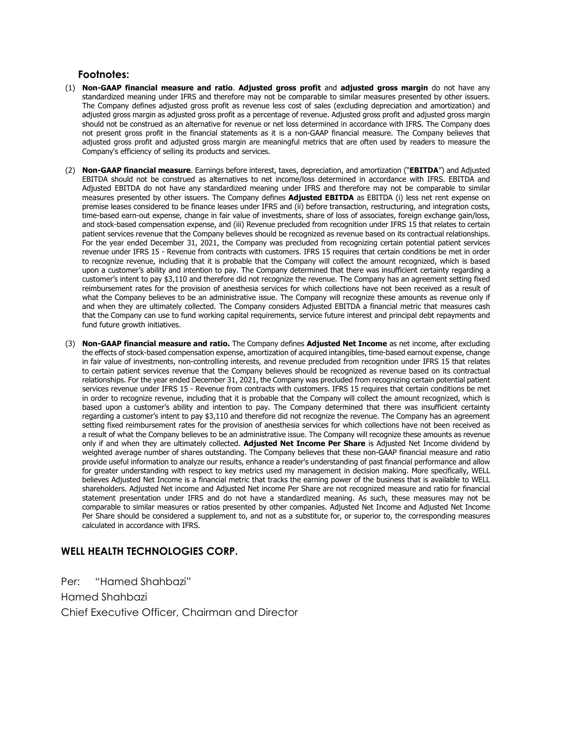#### **Footnotes:**

- (1) **Non-GAAP financial measure and ratio**. **Adjusted gross profit** and **adjusted gross margin** do not have any standardized meaning under IFRS and therefore may not be comparable to similar measures presented by other issuers. The Company defines adjusted gross profit as revenue less cost of sales (excluding depreciation and amortization) and adjusted gross margin as adjusted gross profit as a percentage of revenue. Adjusted gross profit and adjusted gross margin should not be construed as an alternative for revenue or net loss determined in accordance with IFRS. The Company does not present gross profit in the financial statements as it is a non-GAAP financial measure. The Company believes that adjusted gross profit and adjusted gross margin are meaningful metrics that are often used by readers to measure the Company's efficiency of selling its products and services.
- (2) **Non-GAAP financial measure**. Earnings before interest, taxes, depreciation, and amortization ("**EBITDA**") and Adjusted EBITDA should not be construed as alternatives to net income/loss determined in accordance with IFRS. EBITDA and Adjusted EBITDA do not have any standardized meaning under IFRS and therefore may not be comparable to similar measures presented by other issuers. The Company defines **Adjusted EBITDA** as EBITDA (i) less net rent expense on premise leases considered to be finance leases under IFRS and (ii) before transaction, restructuring, and integration costs, time-based earn-out expense, change in fair value of investments, share of loss of associates, foreign exchange gain/loss, and stock-based compensation expense, and (iii) Revenue precluded from recognition under IFRS 15 that relates to certain patient services revenue that the Company believes should be recognized as revenue based on its contractual relationships. For the year ended December 31, 2021, the Company was precluded from recognizing certain potential patient services revenue under IFRS 15 - Revenue from contracts with customers. IFRS 15 requires that certain conditions be met in order to recognize revenue, including that it is probable that the Company will collect the amount recognized, which is based upon a customer's ability and intention to pay. The Company determined that there was insufficient certainty regarding a customer's intent to pay \$3,110 and therefore did not recognize the revenue. The Company has an agreement setting fixed reimbursement rates for the provision of anesthesia services for which collections have not been received as a result of what the Company believes to be an administrative issue. The Company will recognize these amounts as revenue only if and when they are ultimately collected. The Company considers Adjusted EBITDA a financial metric that measures cash that the Company can use to fund working capital requirements, service future interest and principal debt repayments and fund future growth initiatives.
- (3) **Non-GAAP financial measure and ratio.** The Company defines **Adjusted Net Income** as net income, after excluding the effects of stock-based compensation expense, amortization of acquired intangibles, time-based earnout expense, change in fair value of investments, non-controlling interests, and revenue precluded from recognition under IFRS 15 that relates to certain patient services revenue that the Company believes should be recognized as revenue based on its contractual relationships. For the year ended December 31, 2021, the Company was precluded from recognizing certain potential patient services revenue under IFRS 15 - Revenue from contracts with customers. IFRS 15 requires that certain conditions be met in order to recognize revenue, including that it is probable that the Company will collect the amount recognized, which is based upon a customer's ability and intention to pay. The Company determined that there was insufficient certainty regarding a customer's intent to pay \$3,110 and therefore did not recognize the revenue. The Company has an agreement setting fixed reimbursement rates for the provision of anesthesia services for which collections have not been received as a result of what the Company believes to be an administrative issue. The Company will recognize these amounts as revenue only if and when they are ultimately collected. **Adjusted Net Income Per Share** is Adjusted Net Income dividend by weighted average number of shares outstanding. The Company believes that these non-GAAP financial measure and ratio provide useful information to analyze our results, enhance a reader's understanding of past financial performance and allow for greater understanding with respect to key metrics used my management in decision making. More specifically, WELL believes Adjusted Net Income is a financial metric that tracks the earning power of the business that is available to WELL shareholders. Adjusted Net income and Adjusted Net income Per Share are not recognized measure and ratio for financial statement presentation under IFRS and do not have a standardized meaning. As such, these measures may not be comparable to similar measures or ratios presented by other companies. Adjusted Net Income and Adjusted Net Income Per Share should be considered a supplement to, and not as a substitute for, or superior to, the corresponding measures calculated in accordance with IFRS.

#### **WELL HEALTH TECHNOLOGIES CORP.**

Per: "Hamed Shahbazi" Hamed Shahbazi Chief Executive Officer, Chairman and Director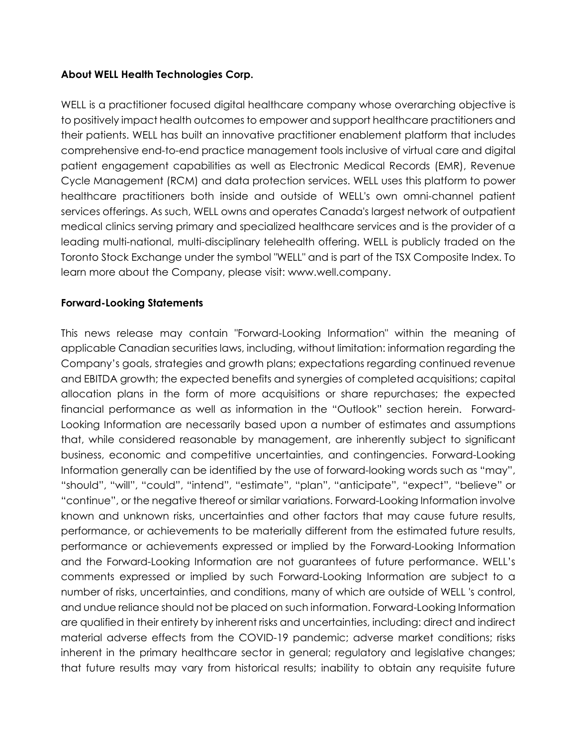# **About WELL Health Technologies Corp.**

WELL is a practitioner focused digital healthcare company whose overarching objective is to positively impact health outcomes to empower and support healthcare practitioners and their patients. WELL has built an innovative practitioner enablement platform that includes comprehensive end-to-end practice management tools inclusive of virtual care and digital patient engagement capabilities as well as Electronic Medical Records (EMR), Revenue Cycle Management (RCM) and data protection services. WELL uses this platform to power healthcare practitioners both inside and outside of WELL's own omni-channel patient services offerings. As such, WELL owns and operates Canada's largest network of outpatient medical clinics serving primary and specialized healthcare services and is the provider of a leading multi-national, multi-disciplinary telehealth offering. WELL is publicly traded on the Toronto Stock Exchange under the symbol "WELL" and is part of the TSX Composite Index. To learn more about the Company, please visit: www.well.company.

# **Forward-Looking Statements**

This news release may contain "Forward-Looking Information" within the meaning of applicable Canadian securities laws, including, without limitation: information regarding the Company's goals, strategies and growth plans; expectations regarding continued revenue and EBITDA growth; the expected benefits and synergies of completed acquisitions; capital allocation plans in the form of more acquisitions or share repurchases; the expected financial performance as well as information in the "Outlook" section herein. Forward-Looking Information are necessarily based upon a number of estimates and assumptions that, while considered reasonable by management, are inherently subject to significant business, economic and competitive uncertainties, and contingencies. Forward-Looking Information generally can be identified by the use of forward-looking words such as "may", "should", "will", "could", "intend", "estimate", "plan", "anticipate", "expect", "believe" or "continue", or the negative thereof or similar variations. Forward-Looking Information involve known and unknown risks, uncertainties and other factors that may cause future results, performance, or achievements to be materially different from the estimated future results, performance or achievements expressed or implied by the Forward-Looking Information and the Forward-Looking Information are not guarantees of future performance. WELL's comments expressed or implied by such Forward-Looking Information are subject to a number of risks, uncertainties, and conditions, many of which are outside of WELL 's control, and undue reliance should not be placed on such information. Forward-Looking Information are qualified in their entirety by inherent risks and uncertainties, including: direct and indirect material adverse effects from the COVID-19 pandemic; adverse market conditions; risks inherent in the primary healthcare sector in general; regulatory and legislative changes; that future results may vary from historical results; inability to obtain any requisite future